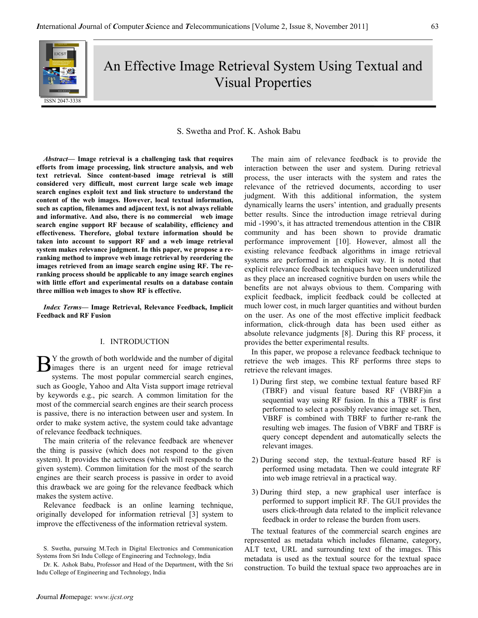

An Effective Image Retrieval System Using Textual and Visual Properties

# S. Swetha and Prof. K. Ashok Babu

Abstract— Image retrieval is a challenging task that requires efforts from image processing, link structure analysis, and web text retrieval. Since content-based image retrieval is still considered very difficult, most current large scale web image search engines exploit text and link structure to understand the content of the web images. However, local textual information, such as caption, filenames and adjacent text, is not always reliable and informative. And also, there is no commercial web image search engine support RF because of scalability, efficiency and effectiveness. Therefore, global texture information should be taken into account to support RF and a web image retrieval system makes relevance judgment. In this paper, we propose a reranking method to improve web image retrieval by reordering the images retrieved from an image search engine using RF. The reranking process should be applicable to any image search engines with little effort and experimental results on a database contain three million web images to show RF is effective.

Index Terms— Image Retrieval, Relevance Feedback, Implicit Feedback and RF Fusion

#### I. INTRODUCTION

Y the growth of both worldwide and the number of digital  $\mathbf{B}$ <sup>Y</sup> the growth of both worldwide and the number of digital images there is an urgent need for image retrieval systems. The most nonular commercial search engines systems. The most popular commercial search engines, such as Google, Yahoo and Alta Vista support image retrieval by keywords e.g., pic search. A common limitation for the most of the commercial search engines are their search process is passive, there is no interaction between user and system. In order to make system active, the system could take advantage of relevance feedback techniques.

The main criteria of the relevance feedback are whenever the thing is passive (which does not respond to the given system). It provides the activeness (which will responds to the given system). Common limitation for the most of the search engines are their search process is passive in order to avoid this drawback we are going for the relevance feedback which makes the system active.

Relevance feedback is an online learning technique, originally developed for information retrieval [3] system to improve the effectiveness of the information retrieval system.

The main aim of relevance feedback is to provide the interaction between the user and system. During retrieval process, the user interacts with the system and rates the relevance of the retrieved documents, according to user judgment. With this additional information, the system dynamically learns the users' intention, and gradually presents better results. Since the introduction image retrieval during mid -1990's, it has attracted tremendous attention in the CBIR community and has been shown to provide dramatic performance improvement [10]. However, almost all the existing relevance feedback algorithms in image retrieval systems are performed in an explicit way. It is noted that explicit relevance feedback techniques have been underutilized as they place an increased cognitive burden on users while the benefits are not always obvious to them. Comparing with explicit feedback, implicit feedback could be collected at much lower cost, in much larger quantities and without burden on the user. As one of the most effective implicit feedback information, click-through data has been used either as absolute relevance judgments [8]. During this RF process, it provides the better experimental results.

In this paper, we propose a relevance feedback technique to retrieve the web images. This RF performs three steps to retrieve the relevant images.

- 1) During first step, we combine textual feature based RF (TBRF) and visual feature based RF (VBRF)in a sequential way using RF fusion. In this a TBRF is first performed to select a possibly relevance image set. Then, VBRF is combined with TBRF to further re-rank the resulting web images. The fusion of VBRF and TBRF is query concept dependent and automatically selects the relevant images.
- 2) During second step, the textual-feature based RF is performed using metadata. Then we could integrate RF into web image retrieval in a practical way.
- 3) During third step, a new graphical user interface is performed to support implicit RF. The GUI provides the users click-through data related to the implicit relevance feedback in order to release the burden from users.

The textual features of the commercial search engines are represented as metadata which includes filename, category, ALT text, URL and surrounding text of the images. This metadata is used as the textual source for the textual space construction. To build the textual space two approaches are in

S. Swetha, pursuing M.Tech in Digital Electronics and Communication Systems from Sri Indu College of Engineering and Technology, India

Dr. K. Ashok Babu, Professor and Head of the Department, with the Sri Indu College of Engineering and Technology, India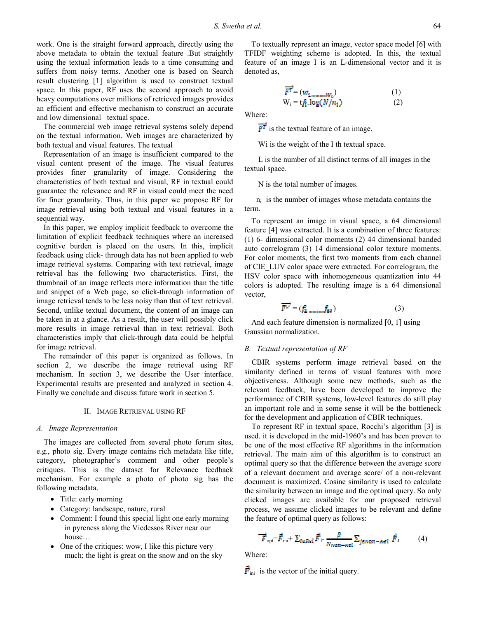work. One is the straight forward approach, directly using the above metadata to obtain the textual feature .But straightly using the textual information leads to a time consuming and suffers from noisy terms. Another one is based on Search result clustering [1] algorithm is used to construct textual space. In this paper, RF uses the second approach to avoid heavy computations over millions of retrieved images provides an efficient and effective mechanism to construct an accurate and low dimensional textual space.

The commercial web image retrieval systems solely depend on the textual information. Web images are characterized by both textual and visual features. The textual

Representation of an image is insufficient compared to the visual content present of the image. The visual features provides finer granularity of image. Considering the characteristics of both textual and visual, RF in textual could guarantee the relevance and RF in visual could meet the need for finer granularity. Thus, in this paper we propose RF for image retrieval using both textual and visual features in a sequential way.

In this paper, we employ implicit feedback to overcome the limitation of explicit feedback techniques where an increased cognitive burden is placed on the users. In this, implicit feedback using click- through data has not been applied to web image retrieval systems. Comparing with text retrieval, image retrieval has the following two characteristics. First, the thumbnail of an image reflects more information than the title and snippet of a Web page, so click-through information of image retrieval tends to be less noisy than that of text retrieval. Second, unlike textual document, the content of an image can be taken in at a glance. As a result, the user will possibly click more results in image retrieval than in text retrieval. Both characteristics imply that click-through data could be helpful for image retrieval.

The remainder of this paper is organized as follows. In section 2, we describe the image retrieval using RF mechanism. In section 3, we describe the User interface. Experimental results are presented and analyzed in section 4. Finally we conclude and discuss future work in section 5.

## II. IMAGE RETRIEVAL USING RF

## A. Image Representation

The images are collected from several photo forum sites, e.g., photo sig. Every image contains rich metadata like title, category, photographer's comment and other people's critiques. This is the dataset for Relevance feedback mechanism. For example a photo of photo sig has the following metadata.

- Title: early morning
- Category: landscape, nature, rural
- Comment: I found this special light one early morning in pyreness along the Vicdessos River near our house…
- One of the critiques: wow, I like this picture very much; the light is great on the snow and on the sky

To textually represent an image, vector space model [6] with TFIDF weighting scheme is adopted. In this, the textual feature of an image I is an L-dimensional vector and it is denoted as,

$$
F^{T'} = (w_{1,\dots,w_L})
$$
 (1)  
W<sub>i</sub> = t<sub>f<sub>i</sub></sub> log(N/n<sub>i</sub>) (2)

Where:

 $\overline{F^T}$  is the textual feature of an image.

Wi is the weight of the I th textual space.

 L is the number of all distinct terms of all images in the textual space.

N is the total number of images.

 $n<sub>i</sub>$  is the number of images whose metadata contains the term.

To represent an image in visual space, a 64 dimensional feature [4] was extracted. It is a combination of three features: (1) 6- dimensional color moments (2) 44 dimensional banded auto correlogram (3) 14 dimensional color texture moments. For color moments, the first two moments from each channel of CIE\_LUV color space were extracted. For correlogram, the HSV color space with inhomogeneous quantization into 44 colors is adopted. The resulting image is a 64 dimensional vector,

$$
\overline{F}^{\overline{V}} = (\mathbf{f}_1 \mathbf{f}_1 \mathbf{f}_2 \mathbf{f}_3) \tag{3}
$$

And each feature dimension is normalized [0, 1] using Gaussian normalization.

# B. Textual representation of RF

CBIR systems perform image retrieval based on the similarity defined in terms of visual features with more objectiveness. Although some new methods, such as the relevant feedback, have been developed to improve the performance of CBIR systems, low-level features do still play an important role and in some sense it will be the bottleneck for the development and application of CBIR techniques.

To represent RF in textual space, Rocchi's algorithm [3] is used. it is developed in the mid-1960's and has been proven to be one of the most effective RF algorithms in the information retrieval. The main aim of this algorithm is to construct an optimal query so that the difference between the average score of a relevant document and average score/ of a non-relevant document is maximized. Cosine similarity is used to calculate the similarity between an image and the optimal query. So only clicked images are available for our proposed retrieval process, we assume clicked images to be relevant and define the feature of optimal query as follows:

$$
\overrightarrow{F}_{\text{opt}} = \overrightarrow{F}_{\text{ini}} + \sum_{I \in \mathcal{R} \in \mathcal{I}} \overrightarrow{F}_{I} - \frac{\beta}{N_{Non-\mathcal{R} \in \mathcal{I}}} \sum_{j \in \mathcal{N} \text{on}-\mathcal{R} \in \mathcal{I}} \overrightarrow{F}_{J} \tag{4}
$$

Where:

 $\vec{F}_{\text{ini}}$  is the vector of the initial query.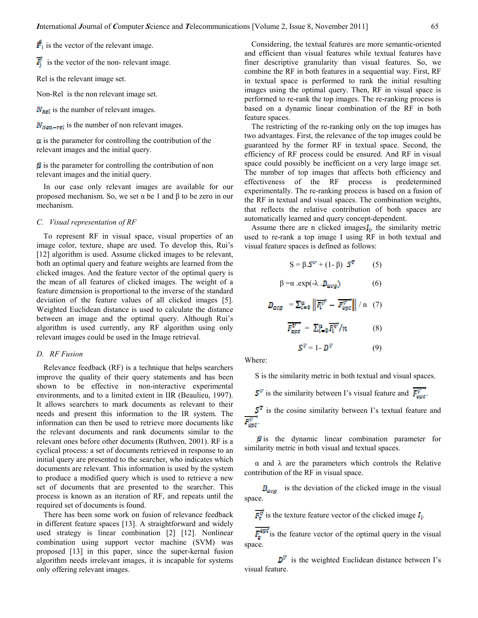$\vec{F}_1$  is the vector of the relevant image.

 $\overline{F}$  is the vector of the non- relevant image.

Rel is the relevant image set.

Non-Rel is the non relevant image set.

 $N_{\text{real}}$  is the number of relevant images.

 $N_{\text{Nom-rel}}$  is the number of non relevant images.

 $\alpha$  is the parameter for controlling the contribution of the relevant images and the initial query.

 $\beta$  is the parameter for controlling the contribution of non relevant images and the initial query.

In our case only relevant images are available for our proposed mechanism. So, we set  $\alpha$  be 1 and  $\beta$  to be zero in our mechanism.

#### C. Visual representation of RF

To represent RF in visual space, visual properties of an image color, texture, shape are used. To develop this, Rui's [12] algorithm is used. Assume clicked images to be relevant, both an optimal query and feature weights are learned from the clicked images. And the feature vector of the optimal query is the mean of all features of clicked images. The weight of a feature dimension is proportional to the inverse of the standard deviation of the feature values of all clicked images [5]. Weighted Euclidean distance is used to calculate the distance between an image and the optimal query. Although Rui's algorithm is used currently, any RF algorithm using only relevant images could be used in the Image retrieval.

## D. RF Fusion

Relevance feedback (RF) is a technique that helps searchers improve the quality of their query statements and has been shown to be effective in non-interactive experimental environments, and to a limited extent in IIR (Beaulieu, 1997). It allows searchers to mark documents as relevant to their needs and present this information to the IR system. The information can then be used to retrieve more documents like the relevant documents and rank documents similar to the relevant ones before other documents (Ruthven, 2001). RF is a cyclical process: a set of documents retrieved in response to an initial query are presented to the searcher, who indicates which documents are relevant. This information is used by the system to produce a modified query which is used to retrieve a new set of documents that are presented to the searcher. This process is known as an iteration of RF, and repeats until the required set of documents is found.

There has been some work on fusion of relevance feedback in different feature spaces [13]. A straightforward and widely used strategy is linear combination [2] [12]. Nonlinear combination using support vector machine (SVM) was proposed [13] in this paper, since the super-kernal fusion algorithm needs irrelevant images, it is incapable for systems only offering relevant images.

Considering, the textual features are more semantic-oriented and efficient than visual features while textual features have finer descriptive granularity than visual features. So, we combine the RF in both features in a sequential way. First, RF in textual space is performed to rank the initial resulting images using the optimal query. Then, RF in visual space is performed to re-rank the top images. The re-ranking process is based on a dynamic linear combination of the RF in both feature spaces.

The restricting of the re-ranking only on the top images has two advantages. First, the relevance of the top images could be guaranteed by the former RF in textual space. Second, the efficiency of RF process could be ensured. And RF in visual space could possibly be inefficient on a very large image set. The number of top images that affects both efficiency and effectiveness of the RF process is predetermined experimentally. The re-ranking process is based on a fusion of the RF in textual and visual spaces. The combination weights, that reflects the relative contribution of both spaces are automatically learned and query concept-dependent.

Assume there are n clicked images $I_i$ , the similarity metric used to re-rank a top image I using RF in both textual and visual feature spaces is defined as follows:

$$
S = \beta \cdot S^{V} + (1 - \beta) S^{T}
$$
 (5)  

$$
\beta = \alpha \cdot \exp(\cdot \lambda \cdot D_{avg})
$$
 (6)  

$$
D_{avg} = \sum_{i=0}^{n} \left\| \overline{F_{i}^{V}} - \overline{F_{opt}^{V}} \right\| / n
$$
 (7)  

$$
\overline{F_{opt}^{V}} = \sum_{i=0}^{n} \overline{F_{i}^{V}} / n
$$
 (8)  

$$
S^{V} = 1 - D^{V}
$$
 (9)

Where:

S is the similarity metric in both textual and visual spaces.

 $\mathbf{S}^V$  is the similarity between I's visual feature and  $\overrightarrow{F_{\text{out}}^V}$ .

 $\mathbf{S}^{\mathrm{T}}$  is the cosine similarity between I's textual feature and  $\overline{F_{opt}^V}$  .

 $\beta$  is the dynamic linear combination parameter for similarity metric in both visual and textual spaces.

α and λ are the parameters which controls the Relative contribution of the RF in visual space.

 $D_{avg}$  is the deviation of the clicked image in the visual space.

 $\overline{F_r^{\psi}}$  is the texture feature vector of the clicked image  $I_i$ .

 $\overline{F_{\bullet}^{\text{opt}}}$  is the feature vector of the optimal query in the visual space.

 $\mathbf{D}^{\mathbf{V}}$  is the weighted Euclidean distance between I's visual feature.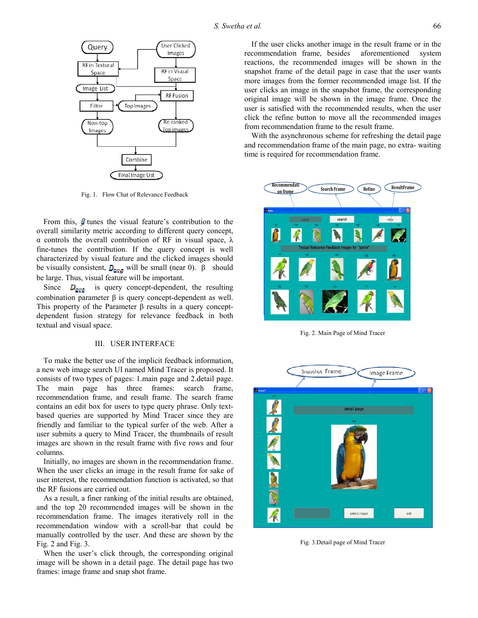

Fig. 1. Flow Chat of Relevance Feedback

From this,  $\beta$  tunes the visual feature's contribution to the overall similarity metric according to different query concept, α controls the overall contribution of RF in visual space, λ fine-tunes the contribution. If the query concept is well characterized by visual feature and the clicked images should be visually consistent,  $D_{avg}$  will be small (near 0). β should be large. Thus, visual feature will be important.

Since  $D_{avg}$  is query concept-dependent, the resulting combination parameter β is query concept-dependent as well. This property of the Parameter β results in a query conceptdependent fusion strategy for relevance feedback in both textual and visual space.

## III. USER INTERFACE

To make the better use of the implicit feedback information, a new web image search UI named Mind Tracer is proposed. It consists of two types of pages: 1.main page and 2.detail page. The main page has three frames: search frame, recommendation frame, and result frame. The search frame contains an edit box for users to type query phrase. Only textbased queries are supported by Mind Tracer since they are friendly and familiar to the typical surfer of the web. After a user submits a query to Mind Tracer, the thumbnails of result images are shown in the result frame with five rows and four columns.

Initially, no images are shown in the recommendation frame. When the user clicks an image in the result frame for sake of user interest, the recommendation function is activated, so that the RF fusions are carried out.

As a result, a finer ranking of the initial results are obtained, and the top 20 recommended images will be shown in the recommendation frame. The images iteratively roll in the recommendation window with a scroll-bar that could be manually controlled by the user. And these are shown by the Fig. 2 and Fig. 3.

When the user's click through, the corresponding original image will be shown in a detail page. The detail page has two frames: image frame and snap shot frame.

If the user clicks another image in the result frame or in the recommendation frame, besides aforementioned system reactions, the recommended images will be shown in the snapshot frame of the detail page in case that the user wants more images from the former recommended image list. If the user clicks an image in the snapshot frame, the corresponding original image will be shown in the image frame. Once the user is satisfied with the recommended results, when the user click the refine button to move all the recommended images from recommendation frame to the result frame.

With the asynchronous scheme for refreshing the detail page and recommendation frame of the main page, no extra- waiting time is required for recommendation frame.



Fig. 2. Main Page of Mind Tracer



Fig. 3.Detail page of Mind Tracer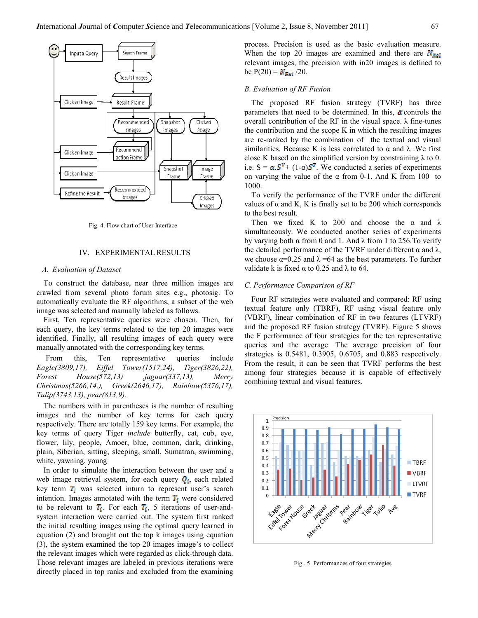

Fig. 4. Flow chart of User Interface

#### IV. EXPERIMENTAL RESULTS

## A. Evaluation of Dataset

To construct the database, near three million images are crawled from several photo forum sites e.g., photosig. To automatically evaluate the RF algorithms, a subset of the web image was selected and manually labeled as follows.

First, Ten representative queries were chosen. Then, for each query, the key terms related to the top 20 images were identified. Finally, all resulting images of each query were manually annotated with the corresponding key terms.

 From this, Ten representative queries include Eagle(3809,17), Eiffel Tower(1517,24), Tiger(3826,22), Forest House(572,13) ,jaguar(337,13), Merry Christmas(5266,14,), Greek(2646,17), Rainbow(5376,17), Tulip(3743,13), pear(813,9).

The numbers with in parentheses is the number of resulting images and the number of key terms for each query respectively. There are totally 159 key terms. For example, the key terms of query Tiger include butterfly, cat, cub, eye, flower, lily, people, Amoer, blue, common, dark, drinking, plain, Siberian, sitting, sleeping, small, Sumatran, swimming, white, yawning, young

In order to simulate the interaction between the user and a web image retrieval system, for each query  $\mathbf{Q}_i$ , each related key term  $T_i$  was selected inturn to represent user's search intention. Images annotated with the term  $\overline{T_i}$  were considered to be relevant to  $\overline{T_i}$ . For each  $\overline{T_i}$ , 5 iterations of user-andsystem interaction were carried out. The system first ranked the initial resulting images using the optimal query learned in equation (2) and brought out the top k images using equation (3), the system examined the top 20 images image's to collect the relevant images which were regarded as click-through data. Those relevant images are labeled in previous iterations were directly placed in top ranks and excluded from the examining process. Precision is used as the basic evaluation measure. When the top 20 images are examined and there are  $N_{\text{Rat}}$ relevant images, the precision with in20 images is defined to be  $P(20) = N_{\text{Ref}}/20$ .

#### B. Evaluation of RF Fusion

The proposed RF fusion strategy (TVRF) has three parameters that need to be determined. In this,  $\alpha$  controls the overall contribution of the RF in the visual space. λ fine-tunes the contribution and the scope K in which the resulting images are re-ranked by the combination of the textual and visual similarities. Because K is less correlated to  $\alpha$  and  $\lambda$ . We first close K based on the simplified version by constraining  $\lambda$  to 0. i.e.  $S = \alpha S^V + (1-\alpha)S^T$ . We conducted a series of experiments on varying the value of the  $\alpha$  from 0-1. And K from 100 to 1000.

To verify the performance of the TVRF under the different values of  $\alpha$  and K, K is finally set to be 200 which corresponds to the best result.

Then we fixed K to 200 and choose the  $\alpha$  and  $\lambda$ simultaneously. We conducted another series of experiments by varying both  $\alpha$  from 0 and 1. And  $\lambda$  from 1 to 256. To verify the detailed performance of the TVRF under different  $\alpha$  and  $\lambda$ , we choose  $\alpha$ =0.25 and  $\lambda$  =64 as the best parameters. To further validate k is fixed  $\alpha$  to 0.25 and  $\lambda$  to 64.

#### C. Performance Comparison of RF

Four RF strategies were evaluated and compared: RF using textual feature only (TBRF), RF using visual feature only (VBRF), linear combination of RF in two features (LTVRF) and the proposed RF fusion strategy (TVRF). Figure 5 shows the F performance of four strategies for the ten representative queries and the average. The average precision of four strategies is 0.5481, 0.3905, 0.6705, and 0.883 respectively. From the result, it can be seen that TVRF performs the best among four strategies because it is capable of effectively combining textual and visual features.



Fig . 5. Performances of four strategies